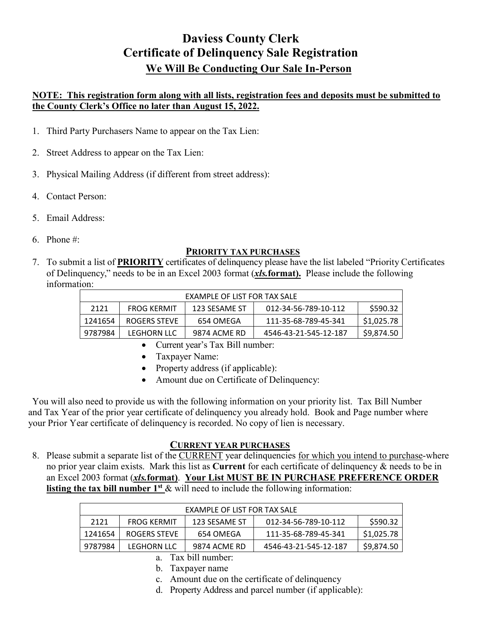# **Daviess County Clerk Certificate of Delinquency Sale Registration We Will Be Conducting Our Sale In-Person**

### **NOTE: This registration form along with all lists, registration fees and deposits must be submitted to the County Clerk's Office no later than August 15, 2022.**

- 1. Third Party Purchasers Name to appear on the Tax Lien:
- 2. Street Address to appear on the Tax Lien:
- 3. Physical Mailing Address (if different from street address):
- 4. Contact Person:
- 5. Email Address:
- 6. Phone #:

### **PRIORITY TAX PURCHASES**

7. To submit a list of **PRIORITY** certificates of delinquency please have the list labeled "Priority Certificates of Delinquency," needs to be in an Excel 2003 format (*xls.***format).** Please include the following information:

|         |                    | EXAMPLE OF LIST FOR TAX SALE |                       |            |
|---------|--------------------|------------------------------|-----------------------|------------|
| 2121    | <b>FROG KERMIT</b> | 123 SESAME ST                | 012-34-56-789-10-112  | \$590.32   |
| 1241654 | ROGERS STEVE       | 654 OMEGA                    | 111-35-68-789-45-341  | \$1,025.78 |
| 9787984 | <b>LEGHORN LLC</b> | 9874 ACME RD                 | 4546-43-21-545-12-187 | \$9,874.50 |

- Current year's Tax Bill number:
- Taxpayer Name:
- Property address (if applicable):
- Amount due on Certificate of Delinquency:

You will also need to provide us with the following information on your priority list. Tax Bill Number and Tax Year of the prior year certificate of delinquency you already hold. Book and Page number where your Prior Year certificate of delinquency is recorded. No copy of lien is necessary.

## **CURRENT YEAR PURCHASES**

8. Please submit a separate list of the CURRENT year delinquencies for which you intend to purchase-where no prior year claim exists. Mark this list as **Current** for each certificate of delinquency & needs to be in an Excel 2003 format (*xls.***format)**. **Your List MUST BE IN PURCHASE PREFERENCE ORDER listing the tax bill number 1<sup>st</sup>** & will need to include the following information:

| EXAMPLE OF LIST FOR TAX SALE |                    |               |                       |            |
|------------------------------|--------------------|---------------|-----------------------|------------|
| 2121                         | <b>FROG KERMIT</b> | 123 SESAME ST | 012-34-56-789-10-112  | \$590.32   |
| 1241654                      | ROGERS STEVE       | 654 OMEGA     | 111-35-68-789-45-341  | \$1,025.78 |
| 9787984                      | LEGHORN LLC        | 9874 ACME RD  | 4546-43-21-545-12-187 | \$9,874.50 |

a. Tax bill number:

- b. Taxpayer name
- c. Amount due on the certificate of delinquency
- d. Property Address and parcel number (if applicable):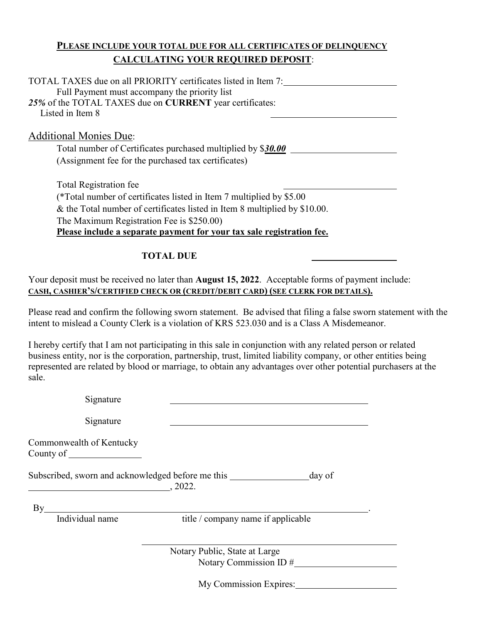## **PLEASE INCLUDE YOUR TOTAL DUE FOR ALL CERTIFICATES OF DELINQUENCY CALCULATING YOUR REQUIRED DEPOSIT**:

| TOTAL TAXES due on all PRIORITY certificates listed in Item 7:<br>Full Payment must accompany the priority list<br>25% of the TOTAL TAXES due on CURRENT year certificates:<br>Listed in Item 8                |
|----------------------------------------------------------------------------------------------------------------------------------------------------------------------------------------------------------------|
| <b>Additional Monies Due:</b>                                                                                                                                                                                  |
| Total number of Certificates purchased multiplied by \$30.00                                                                                                                                                   |
| (Assignment fee for the purchased tax certificates)                                                                                                                                                            |
| <b>Total Registration fee</b>                                                                                                                                                                                  |
| (*Total number of certificates listed in Item 7 multiplied by \$5.00                                                                                                                                           |
| & the Total number of certificates listed in Item 8 multiplied by \$10.00.                                                                                                                                     |
| The Maximum Registration Fee is \$250.00)                                                                                                                                                                      |
| Please include a separate payment for your tax sale registration fee.                                                                                                                                          |
| <b>TOTAL DUE</b>                                                                                                                                                                                               |
| Your deposit must be received no later than August 15, 2022. Acceptable forms of payment include:<br>CASH, CASHIER'S/CERTIFIED CHECK OR (CREDIT/DEBIT CARD) (SEE CLERK FOR DETAILS).                           |
| Please read and confirm the following sworn statement. Be advised that filing a false sworn statement with the<br>intent to mislead a County Clerk is a violation of KRS 523.030 and is a Class A Misdemeanor. |

I hereby certify that I am not participating in this sale in conjunction with any related person or related business entity, nor is the corporation, partnership, trust, limited liability company, or other entities being represented are related by blood or marriage, to obtain any advantages over other potential purchasers at the sale.

| Signature                             |                                                                                     |
|---------------------------------------|-------------------------------------------------------------------------------------|
| Signature                             |                                                                                     |
| Commonwealth of Kentucky<br>County of |                                                                                     |
|                                       | Subscribed, sworn and acknowledged before me this ____________<br>day of<br>. 2022. |
| $\mathbf{B}\mathbf{v}$                |                                                                                     |
| Individual name                       | title / company name if applicable                                                  |
|                                       | Notary Public, State at Large                                                       |
|                                       | Notary Commission ID $#$                                                            |
|                                       | My Commission Expires:                                                              |